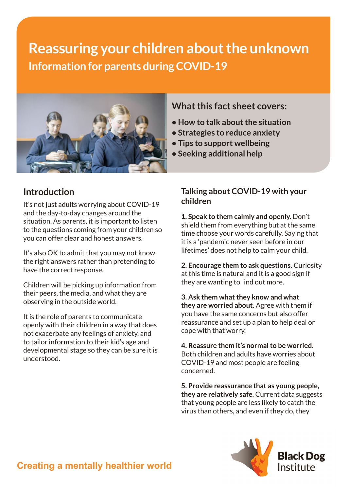# **Reassuring your children about the unknown Information for parents during COVID-19**



## **Introduction**

It's not just adults worrying about COVID-19 and the day-to-day changes around the situation. As parents, it is important to listen to the questions coming from your children so you can offer clear and honest answers.

It's also OK to admit that you may not know the right answers rather than pretending to have the correct response.

Children will be picking up information from their peers, the media, and what they are observing in the outside world.

It is the role of parents to communicate openly with their children in a way that does not exacerbate any feelings of anxiety, and to tailor information to their kid's age and developmental stage so they can be sure it is understood.

### **What this fact sheet covers:**

- **How to talk about the situation**
- **Strategies to reduce anxiety**
- **Tips to support wellbeing**
- **Seeking additional help**

#### **Talking about COVID-19 with your children**

**1. Speak to them calmly and openly.** Don't shield them from everything but at the same time choose your words carefully. Saying that it is a 'pandemic never seen before in our lifetimes' does not help to calm your child.

**2. Encourage them to ask questions.** Curiosity at this time is natural and it is a good sign if they are wanting to ind out more.

**3. Ask them what they know and what they are worried about.** Agree with them if you have the same concerns but also offer reassurance and set up a plan to help deal or cope with that worry.

**4. Reassure them it's normal to be worried.** Both children and adults have worries about COVID-19 and most people are feeling concerned.

**5. Provide reassurance that as young people, they are relatively safe.** Current data suggests that young people are less likely to catch the virus than others, and even if they do, they



## **Creating a mentally healthier world**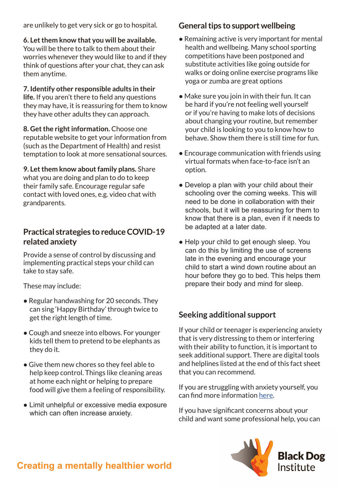are unlikely to get very sick or go to hospital.

**6. Let them know that you will be available.** You will be there to talk to them about their worries whenever they would like to and if they think of questions after your chat, they can ask them anytime.

**7. Identify other responsible adults in their life.** If you aren't there to field any questions they may have, it is reassuring for them to know they have other adults they can approach.

**8. Get the right information.** Choose one reputable website to get your information from (such as the Department of Health) and resist temptation to look at more sensational sources.

**9. Let them know about family plans.** Share what you are doing and plan to do to keep their family safe. Encourage regular safe contact with loved ones, e.g. video chat with grandparents.

#### **Practical strategies to reduce COVID-19 related anxiety**

Provide a sense of control by discussing and implementing practical steps your child can take to stay safe.

These may include:

- Regular handwashing for 20 seconds. They can sing 'Happy Birthday' through twice to get the right length of time.
- Cough and sneeze into elbows. For younger kids tell them to pretend to be elephants as they do it.
- Give them new chores so they feel able to help keep control. Things like cleaning areas at home each night or helping to prepare food will give them a feeling of responsibility.
- Limit unhelpful or excessive media exposure which can often increase anxiety.

#### **General tips to support wellbeing**

- Remaining active is very important for mental health and wellbeing. Many school sporting competitions have been postponed and substitute activities like going outside for walks or doing online exercise programs like yoga or zumba are great options
- $\bullet$  Make sure you join in with their fun. It can be hard if you're not feeling well yourself or if you're having to make lots of decisions about changing your routine, but remember your child is looking to you to know how to behave. Show them there is still time for fun.
- Encourage communication with friends using virtual formats when face-to-face isn't an option.
- Develop a plan with your child about their schooling over the coming weeks. This will need to be done in collaboration with their schools, but it will be reassuring for them to know that there is a plan, even if it needs to be adapted at a later date.
- Help your child to get enough sleep. You can do this by limiting the use of screens late in the evening and encourage your child to start a wind down routine about an hour before they go to bed. This helps them prepare their body and mind for sleep.

#### **Seeking additional support**

If your child or teenager is experiencing anxiety that is very distressing to them or interfering with their ability to function, it is important to seek additional support. There are digital tools and helplines listed at the end of this fact sheet that you can recommend.

If you are struggling with anxiety yourself, you can find more information [here](https://www.smh.com.au/national/some-anxiety-can-be-helpful-how-to-manage-your-covid-19-fears-20200317-p54asa.html).

If you have significant concerns about your child and want some professional help, you can



## **Creating a mentally healthier world**